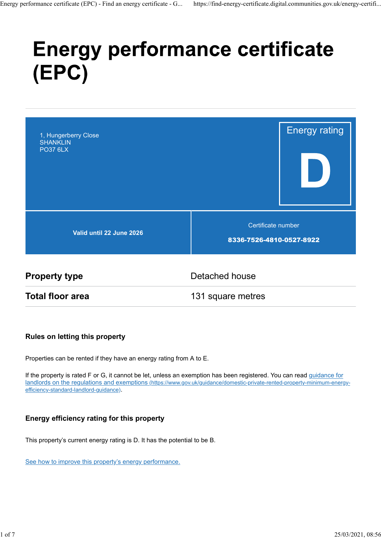# **Energy performance certificate** (EPC)



**Total floor area** 131 square metres

#### Rules on letting this property

Properties can be rented if they have an energy rating from A to E.

If the property is rated F or G, it cannot be let, unless an exemption has been registered. You can read guidance for landlords on the regulations and exemptions (https://www.gov.uk/guidance/domestic-private-rented-property-minimum-energyefficiency-standard-landlord-guidance).

#### Energy efficiency rating for this property

This property's current energy rating is D. It has the potential to be B.

See how to improve this property's energy performance.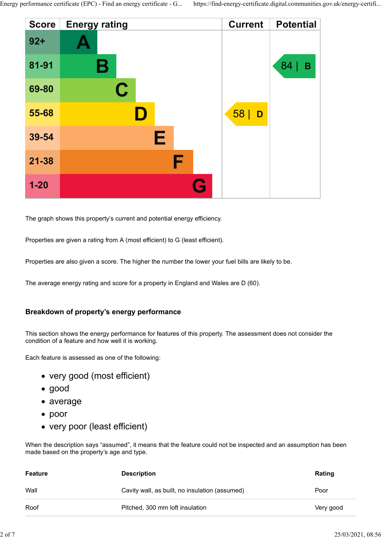

The graph shows this property's current and potential energy efficiency.

Properties are given a rating from A (most efficient) to G (least efficient).

Properties are also given a score. The higher the number the lower your fuel bills are likely to be.

The average energy rating and score for a property in England and Wales are D (60).

#### Breakdown of property's energy performance

- very good (most efficient)
- good
- average
- poor
- very poor (least efficient)

|                | Breakdown of property's energy performance                                                                                                                          |           |                   |
|----------------|---------------------------------------------------------------------------------------------------------------------------------------------------------------------|-----------|-------------------|
|                | This section shows the energy performance for features of this property. The assessment does not consider the<br>condition of a feature and how well it is working. |           |                   |
|                | Each feature is assessed as one of the following:                                                                                                                   |           |                   |
|                | • very good (most efficient)                                                                                                                                        |           |                   |
| $\bullet$ good |                                                                                                                                                                     |           |                   |
| • average      |                                                                                                                                                                     |           |                   |
| $\bullet$ poor |                                                                                                                                                                     |           |                   |
|                | • very poor (least efficient)                                                                                                                                       |           |                   |
|                | When the description says "assumed", it means that the feature could not be inspected and an assumption has been<br>made based on the property's age and type.      |           |                   |
| <b>Feature</b> | <b>Description</b>                                                                                                                                                  | Rating    |                   |
| Wall           | Cavity wall, as built, no insulation (assumed)                                                                                                                      | Poor      |                   |
| Roof           | Pitched, 300 mm loft insulation                                                                                                                                     | Very good |                   |
|                |                                                                                                                                                                     |           | 25/03/2021, 08:56 |
|                |                                                                                                                                                                     |           |                   |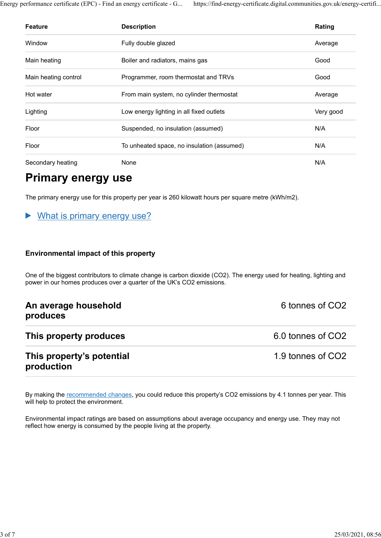Energy performance certificate (EPC) - Find an energy certificate - G... https://find-energy-certificate.digital.communities.gov.uk/energy-certifi...

|                           | erformance certificate (EPC) - Find an energy certificate - G<br>https://find-energy-certificate.digital.communities.gov.uk/energy-certifi |           |
|---------------------------|--------------------------------------------------------------------------------------------------------------------------------------------|-----------|
|                           |                                                                                                                                            |           |
| Feature                   | <b>Description</b>                                                                                                                         | Rating    |
| Window                    | Fully double glazed                                                                                                                        | Average   |
| Main heating              | Boiler and radiators, mains gas                                                                                                            | Good      |
| Main heating control      | Programmer, room thermostat and TRVs                                                                                                       | Good      |
| Hot water                 | From main system, no cylinder thermostat                                                                                                   | Average   |
| Lighting                  | Low energy lighting in all fixed outlets                                                                                                   | Very good |
| Floor                     | Suspended, no insulation (assumed)                                                                                                         | N/A       |
| Floor                     | To unheated space, no insulation (assumed)                                                                                                 | N/A       |
| Secondary heating         | None                                                                                                                                       | N/A       |
| <b>Primary energy use</b> |                                                                                                                                            |           |
|                           | The primary energy use for this property per year is 260 kilowatt hours per square metre (kWh/m2).                                         |           |

# Primary energy use

#### What is primary energy use? ▶

#### Environmental impact of this property

One of the biggest contributors to climate change is carbon dioxide (CO2). The energy used for heating, lighting and power in our homes produces over a quarter of the UK's CO2 emissions.

| An average household<br>produces        | 6 tonnes of CO2   |  |  |
|-----------------------------------------|-------------------|--|--|
| This property produces                  | 6.0 tonnes of CO2 |  |  |
| This property's potential<br>production | 1.9 tonnes of CO2 |  |  |

By making the recommended changes, you could reduce this property's CO2 emissions by 4.1 tonnes per year. This will help to protect the environment.

Environmental impact ratings are based on assumptions about average occupancy and energy use. They may not reflect how energy is consumed by the people living at the property.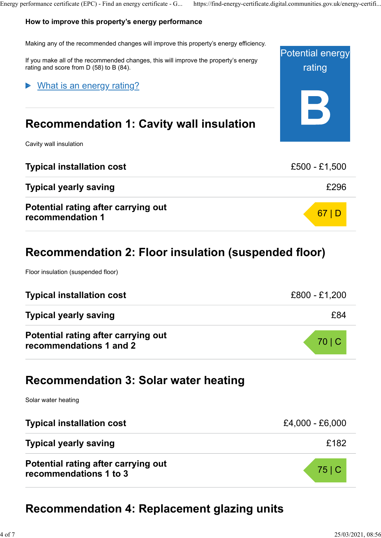### How to improve this property's energy performance

Potential energy rating Making any of the recommended changes will improve this property's energy efficiency. If you make all of the recommended changes, this will improve the property's energy rating and score from D (58) to B (84). Recommendation 1: Cavity wall insulation Cavity wall insulation What is an energy rating?

| <b>Typical installation cost</b>                        | £500 - £1,500 |
|---------------------------------------------------------|---------------|
| <b>Typical yearly saving</b>                            | £296          |
| Potential rating after carrying out<br>recommendation 1 | 67 D          |

# Recommendation 2: Floor insulation (suspended floor)

Floor insulation (suspended floor)

| <b>Typical installation cost</b>                               | £800 - £1,200 |
|----------------------------------------------------------------|---------------|
| <b>Typical yearly saving</b>                                   | £84           |
| Potential rating after carrying out<br>recommendations 1 and 2 | 70 C          |

# Recommendation 3: Solar water heating

Solar water heating

| <b>Typical installation cost</b>                              | £4,000 - £6,000 |
|---------------------------------------------------------------|-----------------|
| <b>Typical yearly saving</b>                                  | £182            |
| Potential rating after carrying out<br>recommendations 1 to 3 | 75 C            |

# Recommendation 4: Replacement glazing units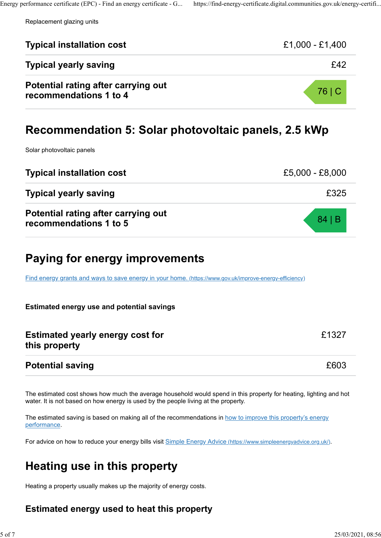Replacement glazing units

| Replacement glazing units                                                                               |                 |
|---------------------------------------------------------------------------------------------------------|-----------------|
| <b>Typical installation cost</b>                                                                        | £1,000 - £1,400 |
| <b>Typical yearly saving</b>                                                                            | £42             |
| Potential rating after carrying out<br>recommendations 1 to 4                                           | 76 C            |
| Recommendation 5: Solar photovoltaic panels, 2.5 kWp                                                    |                 |
| Solar photovoltaic panels                                                                               |                 |
| <b>Typical installation cost</b>                                                                        | £5,000 - £8,000 |
| <b>Typical yearly saving</b>                                                                            | £325            |
| <b>Potential rating after carrying out</b><br>recommendations 1 to 5                                    | 84 B            |
| Paying for energy improvements                                                                          |                 |
| Find energy grants and ways to save energy in your home. (https://www.gov.uk/improve-energy-efficiency) |                 |
| <b>Estimated energy use and potential savings</b>                                                       |                 |
| <b>Estimated yearly energy cost for</b><br>this property                                                | £1327           |
| <b>Potential saving</b>                                                                                 | £603            |

The estimated saving is based on making all of the recommendations in how to improve this property's energy performance.

For advice on how to reduce your energy bills visit Simple Energy Advice (https://www.simpleenergyadvice.org.uk/).

# Heating use in this property

Heating a property usually makes up the majority of energy costs.

### Estimated energy used to heat this property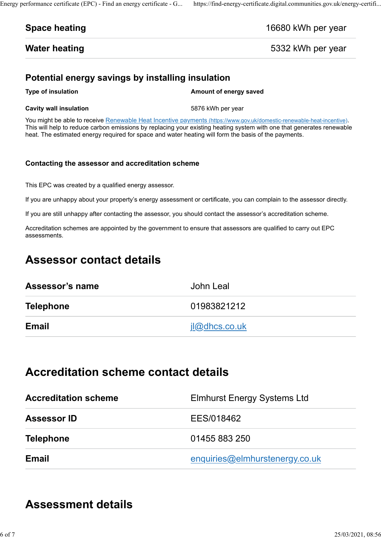#### Space heating and the set of the set of the 16680 kWh per year

Water heating **EXECUTE:** The US of the Second State of the Second S332 kWh per year

### Potential energy savings by installing insulation

#### **Cavity wall insulation** 6876 kWh per year

Fromance certificate (EPC) - Find an energy certificate - G... https://find-energy-certificate.digital.communities.gov.uk/energy-certifi...<br> **Space heating** 16680 kWh per year<br> **Water heating** 5332 kWh per year<br>
Potential You might be able to receive Renewable Heat Incentive payments (https://www.gov.uk/domestic-renewable-heat-incentive). This will help to reduce carbon emissions by replacing your existing heating system with one that generates renewable heat. The estimated energy required for space and water heating will form the basis of the payments.

#### Contacting the assessor and accreditation scheme

This EPC was created by a qualified energy assessor.

If you are unhappy about your property's energy assessment or certificate, you can complain to the assessor directly.

If you are still unhappy after contacting the assessor, you should contact the assessor's accreditation scheme.

Accreditation schemes are appointed by the government to ensure that assessors are qualified to carry out EPC assessments.

# Assessor contact details

| Assessor's name  | John Leal            |
|------------------|----------------------|
| <b>Telephone</b> | 01983821212          |
| <b>Email</b>     | <u>il@dhcs.co.uk</u> |

# Accreditation scheme contact details

| <b>Accreditation scheme</b> | <b>Elmhurst Energy Systems Ltd</b> |
|-----------------------------|------------------------------------|
| <b>Assessor ID</b>          | EES/018462                         |
| <b>Telephone</b>            | 01455 883 250                      |
| <b>Email</b>                | enquiries@elmhurstenergy.co.uk     |

# Assessment details